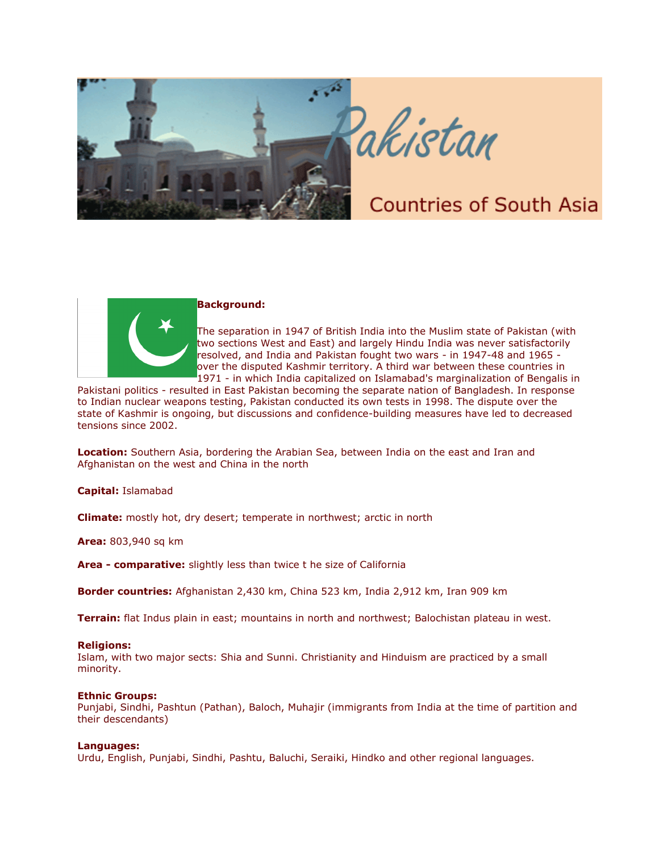

# akistan

# **Countries of South Asia**



# **Background:**

The separation in 1947 of British India into the Muslim state of Pakistan (with two sections West and East) and largely Hindu India was never satisfactorily resolved, and India and Pakistan fought two wars - in 1947-48 and 1965 over the disputed Kashmir territory. A third war between these countries in 1971 - in which India capitalized on Islamabad's marginalization of Bengalis in

Pakistani politics - resulted in East Pakistan becoming the separate nation of Bangladesh. In response to Indian nuclear weapons testing, Pakistan conducted its own tests in 1998. The dispute over the state of Kashmir is ongoing, but discussions and confidence-building measures have led to decreased tensions since 2002.

**Location:** Southern Asia, bordering the Arabian Sea, between India on the east and Iran and Afghanistan on the west and China in the north

**Capital:** Islamabad

**Climate:** mostly hot, dry desert; temperate in northwest; arctic in north

**Area:** 803,940 sq km

**Area - comparative:** slightly less than twice t he size of California

**Border countries:** Afghanistan 2,430 km, China 523 km, India 2,912 km, Iran 909 km

**Terrain:** flat Indus plain in east; mountains in north and northwest; Balochistan plateau in west.

# **Religions:**

Islam, with two major sects: Shia and Sunni. Christianity and Hinduism are practiced by a small minority.

# **Ethnic Groups:**

Punjabi, Sindhi, Pashtun (Pathan), Baloch, Muhajir (immigrants from India at the time of partition and their descendants)

# **Languages:**

Urdu, English, Punjabi, Sindhi, Pashtu, Baluchi, Seraiki, Hindko and other regional languages.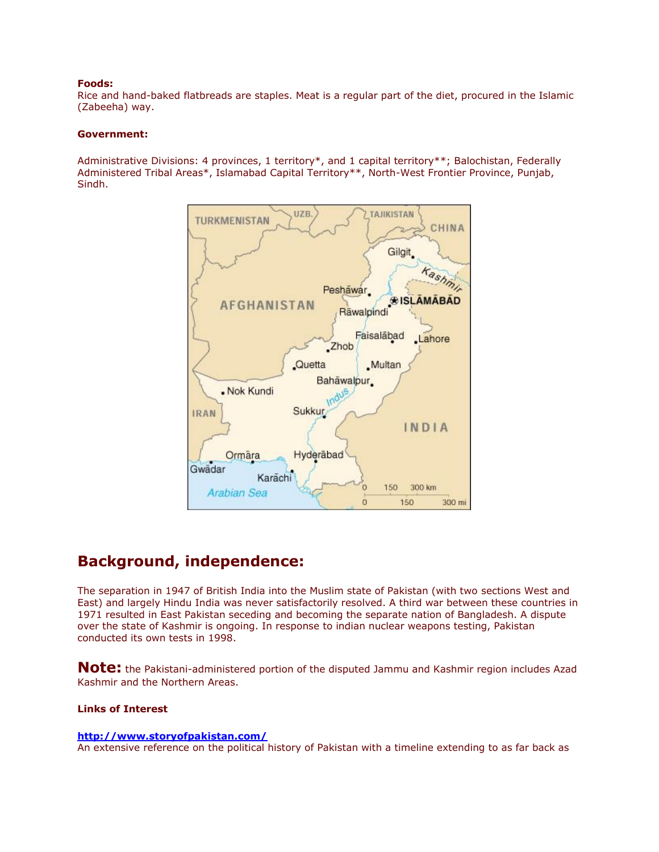# **Foods:**

Rice and hand-baked flatbreads are staples. Meat is a regular part of the diet, procured in the Islamic (Zabeeha) way.

# **Government:**

Administrative Divisions: 4 provinces, 1 territory\*, and 1 capital territory\*\*; Balochistan, Federally Administered Tribal Areas\*, Islamabad Capital Territory\*\*, North-West Frontier Province, Punjab, Sindh.



# **Background, independence:**

The separation in 1947 of British India into the Muslim state of Pakistan (with two sections West and East) and largely Hindu India was never satisfactorily resolved. A third war between these countries in 1971 resulted in East Pakistan seceding and becoming the separate nation of Bangladesh. A dispute over the state of Kashmir is ongoing. In response to indian nuclear weapons testing, Pakistan conducted its own tests in 1998.

**Note:** the Pakistani-administered portion of the disputed Jammu and Kashmir region includes Azad Kashmir and the Northern Areas.

# **Links of Interest**

# **<http://www.storyofpakistan.com/>**

An extensive reference on the political history of Pakistan with a timeline extending to as far back as